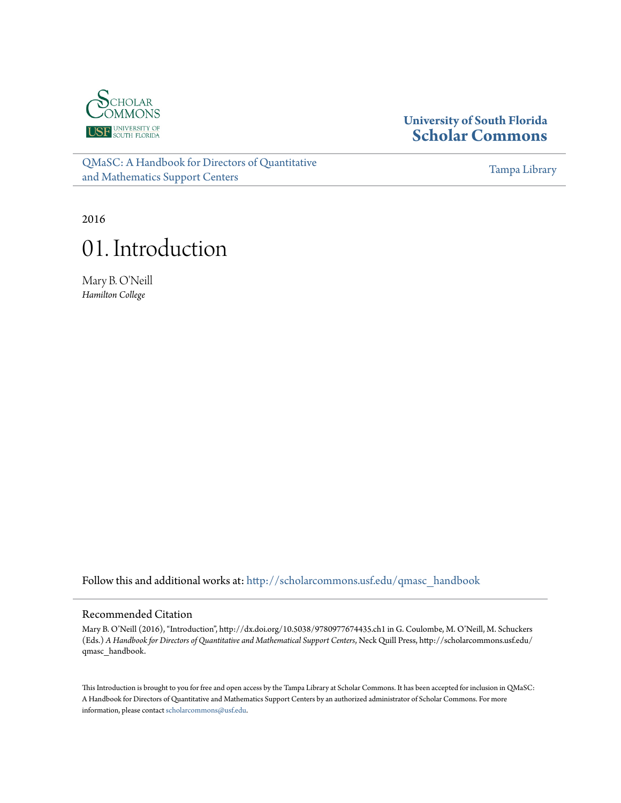

### **University of South Florida [Scholar Commons](http://scholarcommons.usf.edu?utm_source=scholarcommons.usf.edu%2Fqmasc_handbook%2F1&utm_medium=PDF&utm_campaign=PDFCoverPages)**

[QMaSC: A Handbook for Directors of Quantitative](http://scholarcommons.usf.edu/qmasc_handbook?utm_source=scholarcommons.usf.edu%2Fqmasc_handbook%2F1&utm_medium=PDF&utm_campaign=PDFCoverPages) [and Mathematics Support Centers](http://scholarcommons.usf.edu/qmasc_handbook?utm_source=scholarcommons.usf.edu%2Fqmasc_handbook%2F1&utm_medium=PDF&utm_campaign=PDFCoverPages)

[Tampa Library](http://scholarcommons.usf.edu/tlib?utm_source=scholarcommons.usf.edu%2Fqmasc_handbook%2F1&utm_medium=PDF&utm_campaign=PDFCoverPages)

2016

# 01. Introduction

Mary B. O'Neill *Hamilton College*

Follow this and additional works at: [http://scholarcommons.usf.edu/qmasc\\_handbook](http://scholarcommons.usf.edu/qmasc_handbook?utm_source=scholarcommons.usf.edu%2Fqmasc_handbook%2F1&utm_medium=PDF&utm_campaign=PDFCoverPages)

#### Recommended Citation

Mary B. O'Neill (2016), "Introduction", http://dx.doi.org/10.5038/9780977674435.ch1 in G. Coulombe, M. O'Neill, M. Schuckers (Eds.) *A Handbook for Directors of Quantitative and Mathematical Support Centers*, Neck Quill Press, http://scholarcommons.usf.edu/ qmasc\_handbook.

This Introduction is brought to you for free and open access by the Tampa Library at Scholar Commons. It has been accepted for inclusion in QMaSC: A Handbook for Directors of Quantitative and Mathematics Support Centers by an authorized administrator of Scholar Commons. For more information, please contact [scholarcommons@usf.edu.](mailto:scholarcommons@usf.edu)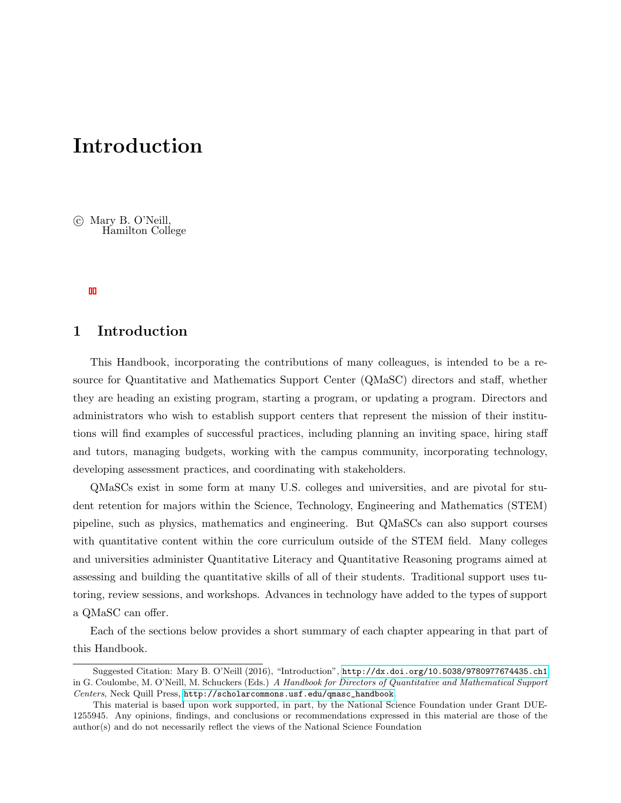## Introduction

(c) Mary B. O'Neill, Hamilton College

#### 1 Introduction

This Handbook, incorporating the contributions of many colleagues, is intended to be a resource for Quantitative and Mathematics Support Center (QMaSC) directors and staff, whether they are heading an existing program, starting a program, or updating a program. Directors and administrators who wish to establish support centers that represent the mission of their institutions will find examples of successful practices, including planning an inviting space, hiring staff and tutors, managing budgets, working with the campus community, incorporating technology, developing assessment practices, and coordinating with stakeholders.

QMaSCs exist in some form at many U.S. colleges and universities, and are pivotal for student retention for majors within the Science, Technology, Engineering and Mathematics (STEM) pipeline, such as physics, mathematics and engineering. But QMaSCs can also support courses with quantitative content within the core curriculum outside of the STEM field. Many colleges and universities administer Quantitative Literacy and Quantitative Reasoning programs aimed at assessing and building the quantitative skills of all of their students. Traditional support uses tutoring, review sessions, and workshops. Advances in technology have added to the types of support a QMaSC can offer.

Each of the sections below provides a short summary of each chapter appearing in that part of this Handbook.

Suggested Citation: Mary B. O'Neill (2016), "Introduction", <http://dx.doi.org/10.5038/9780977674435.ch1> in G. Coulombe, M. O'Neill, M. Schuckers (Eds.) A Handbook for Directors of Quantitative and Mathematical Support Centers, Neck Quill Press, [http://scholarcommons.usf.edu/qmasc\\_handbook](http://scholarcommons.usf.edu/qmasc_handbook).

This material is based upon work supported, in part, by the National Science Foundation under Grant DUE-1255945. Any opinions, findings, and conclusions or recommendations expressed in this material are those of the author(s) and do not necessarily reflect the views of the National Science Foundation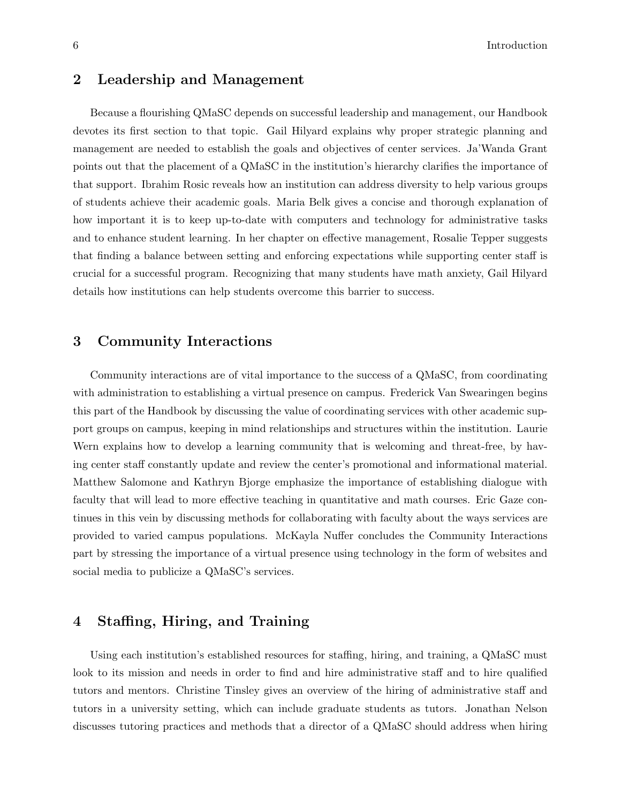#### 6 Introduction

#### 2 Leadership and Management

Because a flourishing QMaSC depends on successful leadership and management, our Handbook devotes its first section to that topic. Gail Hilyard explains why proper strategic planning and management are needed to establish the goals and objectives of center services. Ja'Wanda Grant points out that the placement of a QMaSC in the institution's hierarchy clarifies the importance of that support. Ibrahim Rosic reveals how an institution can address diversity to help various groups of students achieve their academic goals. Maria Belk gives a concise and thorough explanation of how important it is to keep up-to-date with computers and technology for administrative tasks and to enhance student learning. In her chapter on effective management, Rosalie Tepper suggests that finding a balance between setting and enforcing expectations while supporting center staff is crucial for a successful program. Recognizing that many students have math anxiety, Gail Hilyard details how institutions can help students overcome this barrier to success.

#### 3 Community Interactions

Community interactions are of vital importance to the success of a QMaSC, from coordinating with administration to establishing a virtual presence on campus. Frederick Van Swearingen begins this part of the Handbook by discussing the value of coordinating services with other academic support groups on campus, keeping in mind relationships and structures within the institution. Laurie Wern explains how to develop a learning community that is welcoming and threat-free, by having center staff constantly update and review the center's promotional and informational material. Matthew Salomone and Kathryn Bjorge emphasize the importance of establishing dialogue with faculty that will lead to more effective teaching in quantitative and math courses. Eric Gaze continues in this vein by discussing methods for collaborating with faculty about the ways services are provided to varied campus populations. McKayla Nuffer concludes the Community Interactions part by stressing the importance of a virtual presence using technology in the form of websites and social media to publicize a QMaSC's services.

#### 4 Staffing, Hiring, and Training

Using each institution's established resources for staffing, hiring, and training, a QMaSC must look to its mission and needs in order to find and hire administrative staff and to hire qualified tutors and mentors. Christine Tinsley gives an overview of the hiring of administrative staff and tutors in a university setting, which can include graduate students as tutors. Jonathan Nelson discusses tutoring practices and methods that a director of a QMaSC should address when hiring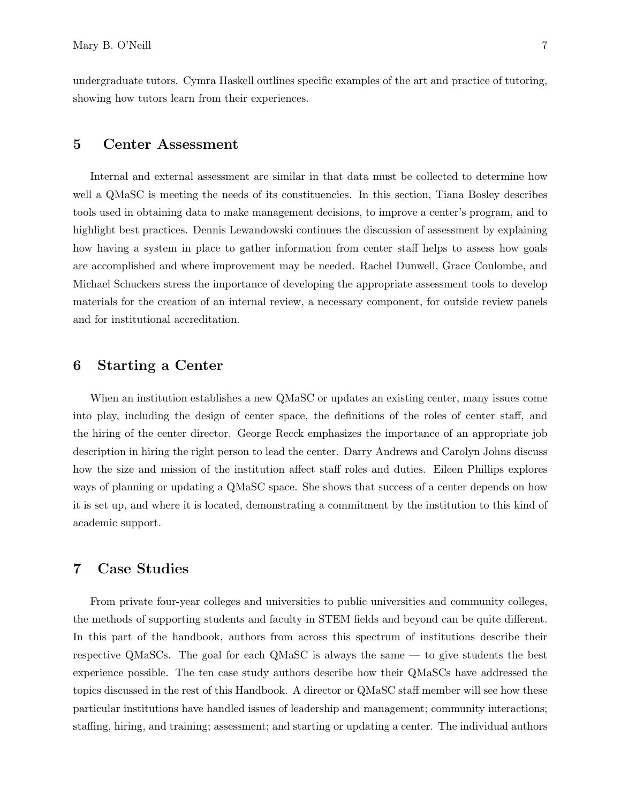undergraduate tutors. Cymra Haskell outlines specific examples of the art and practice of tutoring, showing how tutors learn from their experiences.

#### 5 Center Assessment

Internal and external assessment are similar in that data must be collected to determine how well a QMaSC is meeting the needs of its constituencies. In this section, Tiana Bosley describes tools used in obtaining data to make management decisions, to improve a center's program, and to highlight best practices. Dennis Lewandowski continues the discussion of assessment by explaining how having a system in place to gather information from center staff helps to assess how goals are accomplished and where improvement may be needed. Rachel Dunwell, Grace Coulombe, and Michael Schuckers stress the importance of developing the appropriate assessment tools to develop materials for the creation of an internal review, a necessary component, for outside review panels and for institutional accreditation.

#### 6 Starting a Center

When an institution establishes a new QMaSC or updates an existing center, many issues come into play, including the design of center space, the definitions of the roles of center staff, and the hiring of the center director. George Recck emphasizes the importance of an appropriate job description in hiring the right person to lead the center. Darry Andrews and Carolyn Johns discuss how the size and mission of the institution affect staff roles and duties. Eileen Phillips explores ways of planning or updating a QMaSC space. She shows that success of a center depends on how it is set up, and where it is located, demonstrating a commitment by the institution to this kind of academic support.

#### 7 Case Studies

From private four-year colleges and universities to public universities and community colleges, the methods of supporting students and faculty in STEM fields and beyond can be quite different. In this part of the handbook, authors from across this spectrum of institutions describe their respective QMaSCs. The goal for each QMaSC is always the same — to give students the best experience possible. The ten case study authors describe how their QMaSCs have addressed the topics discussed in the rest of this Handbook. A director or QMaSC staff member will see how these particular institutions have handled issues of leadership and management; community interactions; staffing, hiring, and training; assessment; and starting or updating a center. The individual authors